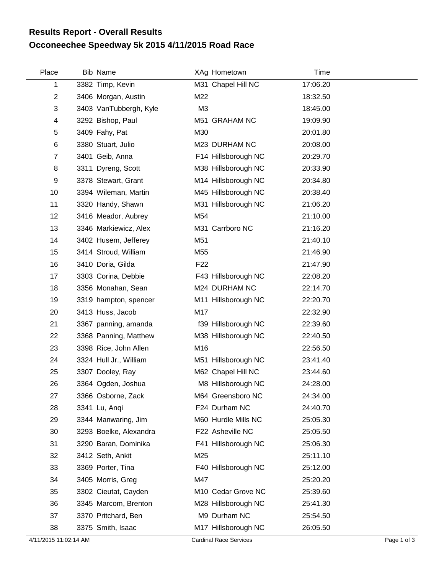## **Occoneechee Speedway 5k 2015 4/11/2015 Road Race Results Report - Overall Results**

| Place          | <b>Bib Name</b>        |                 | XAg Hometown        | Time     |
|----------------|------------------------|-----------------|---------------------|----------|
| 1              | 3382 Timp, Kevin       |                 | M31 Chapel Hill NC  | 17:06.20 |
| $\overline{2}$ | 3406 Morgan, Austin    | M22             |                     | 18:32.50 |
| 3              | 3403 VanTubbergh, Kyle | M <sub>3</sub>  |                     | 18:45.00 |
| 4              | 3292 Bishop, Paul      |                 | M51 GRAHAM NC       | 19:09.90 |
| 5              | 3409 Fahy, Pat         | M30             |                     | 20:01.80 |
| 6              | 3380 Stuart, Julio     |                 | M23 DURHAM NC       | 20:08.00 |
| $\overline{7}$ | 3401 Geib, Anna        |                 | F14 Hillsborough NC | 20:29.70 |
| 8              | 3311 Dyreng, Scott     |                 | M38 Hillsborough NC | 20:33.90 |
| 9              | 3378 Stewart, Grant    |                 | M14 Hillsborough NC | 20:34.80 |
| 10             | 3394 Wileman, Martin   |                 | M45 Hillsborough NC | 20:38.40 |
| 11             | 3320 Handy, Shawn      |                 | M31 Hillsborough NC | 21:06.20 |
| 12             | 3416 Meador, Aubrey    | M54             |                     | 21:10.00 |
| 13             | 3346 Markiewicz, Alex  |                 | M31 Carrboro NC     | 21:16.20 |
| 14             | 3402 Husem, Jefferey   | M51             |                     | 21:40.10 |
| 15             | 3414 Stroud, William   | M55             |                     | 21:46.90 |
| 16             | 3410 Doria, Gilda      | F <sub>22</sub> |                     | 21:47.90 |
| 17             | 3303 Corina, Debbie    |                 | F43 Hillsborough NC | 22:08.20 |
| 18             | 3356 Monahan, Sean     |                 | M24 DURHAM NC       | 22:14.70 |
| 19             | 3319 hampton, spencer  |                 | M11 Hillsborough NC | 22:20.70 |
| 20             | 3413 Huss, Jacob       | M17             |                     | 22:32.90 |
| 21             | 3367 panning, amanda   |                 | f39 Hillsborough NC | 22:39.60 |
| 22             | 3368 Panning, Matthew  |                 | M38 Hillsborough NC | 22:40.50 |
| 23             | 3398 Rice, John Allen  | M16             |                     | 22:56.50 |
| 24             | 3324 Hull Jr., William |                 | M51 Hillsborough NC | 23:41.40 |
| 25             | 3307 Dooley, Ray       |                 | M62 Chapel Hill NC  | 23:44.60 |
| 26             | 3364 Ogden, Joshua     |                 | M8 Hillsborough NC  | 24:28.00 |
| 27             | 3366 Osborne, Zack     |                 | M64 Greensboro NC   | 24:34.00 |
| 28             | 3341 Lu, Angi          |                 | F24 Durham NC       | 24:40.70 |
| 29             | 3344 Manwaring, Jim    |                 | M60 Hurdle Mills NC | 25:05.30 |
| 30             | 3293 Boelke, Alexandra |                 | F22 Asheville NC    | 25:05.50 |
| 31             | 3290 Baran, Dominika   |                 | F41 Hillsborough NC | 25:06.30 |
| 32             | 3412 Seth, Ankit       | M25             |                     | 25:11.10 |
| 33             | 3369 Porter, Tina      |                 | F40 Hillsborough NC | 25:12.00 |
| 34             | 3405 Morris, Greg      | M47             |                     | 25:20.20 |
| 35             | 3302 Cieutat, Cayden   |                 | M10 Cedar Grove NC  | 25:39.60 |
| 36             | 3345 Marcom, Brenton   |                 | M28 Hillsborough NC | 25:41.30 |
| 37             | 3370 Pritchard, Ben    |                 | M9 Durham NC        | 25:54.50 |
| 38             | 3375 Smith, Isaac      |                 | M17 Hillsborough NC | 26:05.50 |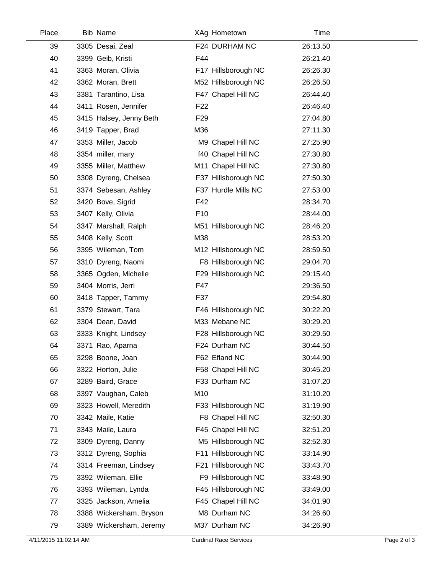| Place | Bib Name                |                 | XAg Hometown        | Time     |  |
|-------|-------------------------|-----------------|---------------------|----------|--|
| 39    | 3305 Desai, Zeal        |                 | F24 DURHAM NC       | 26:13.50 |  |
| 40    | 3399 Geib, Kristi       | F44             |                     | 26:21.40 |  |
| 41    | 3363 Moran, Olivia      |                 | F17 Hillsborough NC | 26:26.30 |  |
| 42    | 3362 Moran, Brett       |                 | M52 Hillsborough NC | 26:26.50 |  |
| 43    | 3381 Tarantino, Lisa    |                 | F47 Chapel Hill NC  | 26:44.40 |  |
| 44    | 3411 Rosen, Jennifer    | F <sub>22</sub> |                     | 26:46.40 |  |
| 45    | 3415 Halsey, Jenny Beth | F <sub>29</sub> |                     | 27:04.80 |  |
| 46    | 3419 Tapper, Brad       | M36             |                     | 27:11.30 |  |
| 47    | 3353 Miller, Jacob      |                 | M9 Chapel Hill NC   | 27:25.90 |  |
| 48    | 3354 miller, mary       |                 | f40 Chapel Hill NC  | 27:30.80 |  |
| 49    | 3355 Miller, Matthew    |                 | M11 Chapel Hill NC  | 27:30.80 |  |
| 50    | 3308 Dyreng, Chelsea    |                 | F37 Hillsborough NC | 27:50.30 |  |
| 51    | 3374 Sebesan, Ashley    |                 | F37 Hurdle Mills NC | 27:53.00 |  |
| 52    | 3420 Bove, Sigrid       | F42             |                     | 28:34.70 |  |
| 53    | 3407 Kelly, Olivia      | F10             |                     | 28:44.00 |  |
| 54    | 3347 Marshall, Ralph    |                 | M51 Hillsborough NC | 28:46.20 |  |
| 55    | 3408 Kelly, Scott       | M38             |                     | 28:53.20 |  |
| 56    | 3395 Wileman, Tom       |                 | M12 Hillsborough NC | 28:59.50 |  |
| 57    | 3310 Dyreng, Naomi      |                 | F8 Hillsborough NC  | 29:04.70 |  |
| 58    | 3365 Ogden, Michelle    |                 | F29 Hillsborough NC | 29:15.40 |  |
| 59    | 3404 Morris, Jerri      | F47             |                     | 29:36.50 |  |
| 60    | 3418 Tapper, Tammy      | F37             |                     | 29:54.80 |  |
| 61    | 3379 Stewart, Tara      |                 | F46 Hillsborough NC | 30:22.20 |  |
| 62    | 3304 Dean, David        |                 | M33 Mebane NC       | 30:29.20 |  |
| 63    | 3333 Knight, Lindsey    |                 | F28 Hillsborough NC | 30:29.50 |  |
| 64    | 3371 Rao, Aparna        |                 | F24 Durham NC       | 30:44.50 |  |
| 65    | 3298 Boone, Joan        |                 | F62 Efland NC       | 30:44.90 |  |
| 66    | 3322 Horton, Julie      |                 | F58 Chapel Hill NC  | 30:45.20 |  |
| 67    | 3289 Baird, Grace       |                 | F33 Durham NC       | 31:07.20 |  |
| 68    | 3397 Vaughan, Caleb     | M10             |                     | 31:10.20 |  |
| 69    | 3323 Howell, Meredith   |                 | F33 Hillsborough NC | 31:19.90 |  |
| 70    | 3342 Maile, Katie       |                 | F8 Chapel Hill NC   | 32:50.30 |  |
| 71    | 3343 Maile, Laura       |                 | F45 Chapel Hill NC  | 32:51.20 |  |
| 72    | 3309 Dyreng, Danny      |                 | M5 Hillsborough NC  | 32:52.30 |  |
| 73    | 3312 Dyreng, Sophia     |                 | F11 Hillsborough NC | 33:14.90 |  |
| 74    | 3314 Freeman, Lindsey   |                 | F21 Hillsborough NC | 33:43.70 |  |
| 75    | 3392 Wileman, Ellie     |                 | F9 Hillsborough NC  | 33:48.90 |  |
| 76    | 3393 Wileman, Lynda     |                 | F45 Hillsborough NC | 33:49.00 |  |
| 77    | 3325 Jackson, Amelia    |                 | F45 Chapel Hill NC  | 34:01.90 |  |
| 78    | 3388 Wickersham, Bryson |                 | M8 Durham NC        | 34:26.60 |  |
| 79    | 3389 Wickersham, Jeremy |                 | M37 Durham NC       | 34:26.90 |  |